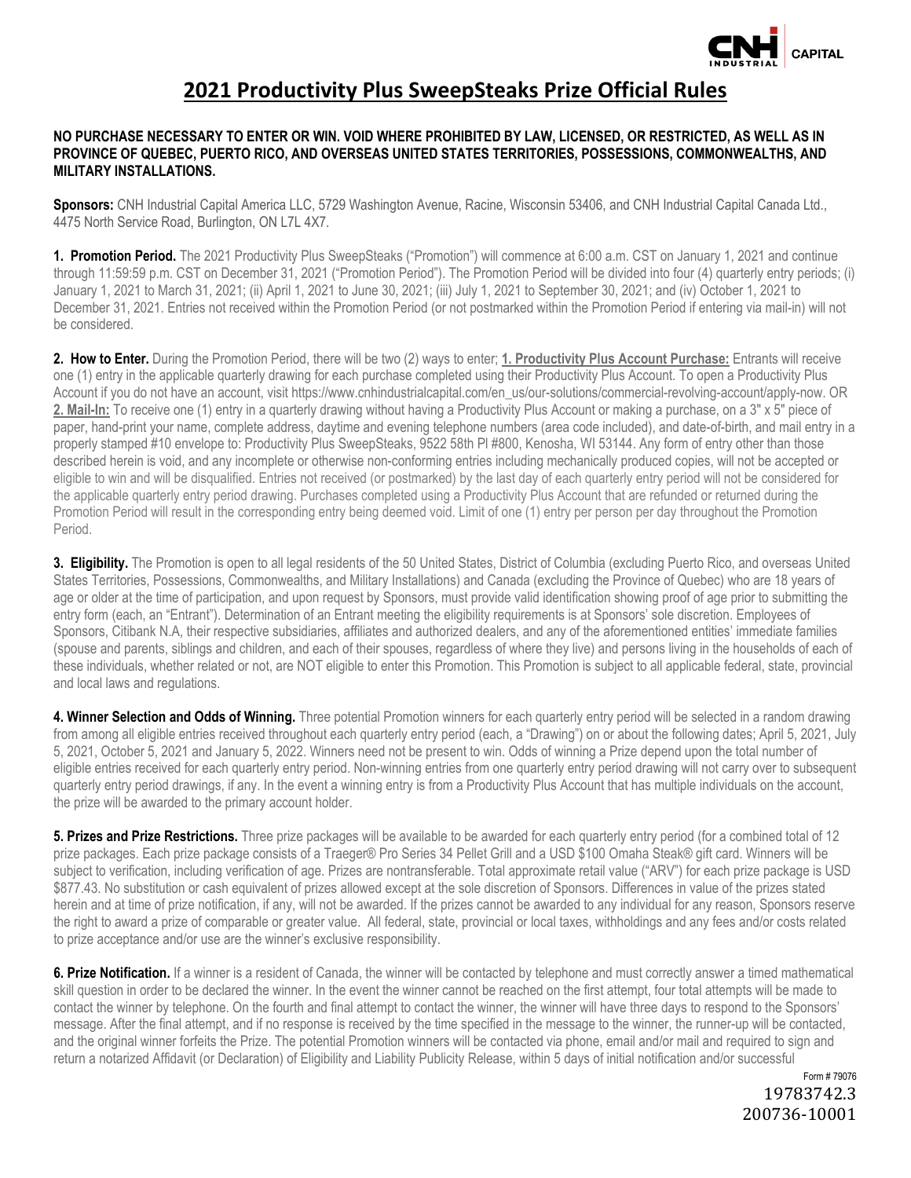

## **2021 Productivity Plus SweepSteaks Prize Official Rules**

## **NO PURCHASE NECESSARY TO ENTER OR WIN. VOID WHERE PROHIBITED BY LAW, LICENSED, OR RESTRICTED, AS WELL AS IN PROVINCE OF QUEBEC, PUERTO RICO, AND OVERSEAS UNITED STATES TERRITORIES, POSSESSIONS, COMMONWEALTHS, AND MILITARY INSTALLATIONS.**

**Sponsors:** CNH Industrial Capital America LLC, 5729 Washington Avenue, Racine, Wisconsin 53406, and CNH Industrial Capital Canada Ltd., 4475 North Service Road, Burlington, ON L7L 4X7.

**1. Promotion Period.** The 2021 Productivity Plus SweepSteaks ("Promotion") will commence at 6:00 a.m. CST on January 1, 2021 and continue through 11:59:59 p.m. CST on December 31, 2021 ("Promotion Period"). The Promotion Period will be divided into four (4) quarterly entry periods; (i) January 1, 2021 to March 31, 2021; (ii) April 1, 2021 to June 30, 2021; (iii) July 1, 2021 to September 30, 2021; and (iv) October 1, 2021 to December 31, 2021. Entries not received within the Promotion Period (or not postmarked within the Promotion Period if entering via mail-in) will not be considered.

**2. How to Enter.** During the Promotion Period, there will be two (2) ways to enter; **1. Productivity Plus Account Purchase:** Entrants will receive one (1) entry in the applicable quarterly drawing for each purchase completed using their Productivity Plus Account. To open a Productivity Plus Account if you do not have an account, visit https://www.cnhindustrialcapital.com/en\_us/our-solutions/commercial-revolving-account/apply-now. OR 2. Mail-In: To receive one (1) entry in a quarterly drawing without having a Productivity Plus Account or making a purchase, on a 3" x 5" piece of paper, hand-print your name, complete address, daytime and evening telephone numbers (area code included), and date-of-birth, and mail entry in a properly stamped #10 envelope to: Productivity Plus SweepSteaks, 9522 58th Pl #800, Kenosha, WI 53144. Any form of entry other than those described herein is void, and any incomplete or otherwise non-conforming entries including mechanically produced copies, will not be accepted or eligible to win and will be disqualified. Entries not received (or postmarked) by the last day of each quarterly entry period will not be considered for the applicable quarterly entry period drawing. Purchases completed using a Productivity Plus Account that are refunded or returned during the Promotion Period will result in the corresponding entry being deemed void. Limit of one (1) entry per person per day throughout the Promotion Period.

**3. Eligibility.** The Promotion is open to all legal residents of the 50 United States, District of Columbia (excluding Puerto Rico, and overseas United States Territories, Possessions, Commonwealths, and Military Installations) and Canada (excluding the Province of Quebec) who are 18 years of age or older at the time of participation, and upon request by Sponsors, must provide valid identification showing proof of age prior to submitting the entry form (each, an "Entrant"). Determination of an Entrant meeting the eligibility requirements is at Sponsors' sole discretion. Employees of Sponsors, Citibank N.A, their respective subsidiaries, affiliates and authorized dealers, and any of the aforementioned entities' immediate families (spouse and parents, siblings and children, and each of their spouses, regardless of where they live) and persons living in the households of each of these individuals, whether related or not, are NOT eligible to enter this Promotion. This Promotion is subject to all applicable federal, state, provincial and local laws and regulations.

**4. Winner Selection and Odds of Winning.** Three potential Promotion winners for each quarterly entry period will be selected in a random drawing from among all eligible entries received throughout each quarterly entry period (each, a "Drawing") on or about the following dates; April 5, 2021, July 5, 2021, October 5, 2021 and January 5, 2022. Winners need not be present to win. Odds of winning a Prize depend upon the total number of eligible entries received for each quarterly entry period. Non-winning entries from one quarterly entry period drawing will not carry over to subsequent quarterly entry period drawings, if any. In the event a winning entry is from a Productivity Plus Account that has multiple individuals on the account, the prize will be awarded to the primary account holder.

**5. Prizes and Prize Restrictions.** Three prize packages will be available to be awarded for each quarterly entry period (for a combined total of 12 prize packages. Each prize package consists of a Traeger® Pro Series 34 Pellet Grill and a USD \$100 Omaha Steak® gift card. Winners will be subject to verification, including verification of age. Prizes are nontransferable. Total approximate retail value ("ARV") for each prize package is USD \$877.43. No substitution or cash equivalent of prizes allowed except at the sole discretion of Sponsors. Differences in value of the prizes stated herein and at time of prize notification, if any, will not be awarded. If the prizes cannot be awarded to any individual for any reason, Sponsors reserve the right to award a prize of comparable or greater value. All federal, state, provincial or local taxes, withholdings and any fees and/or costs related to prize acceptance and/or use are the winner's exclusive responsibility.

**6. Prize Notification.** If a winner is a resident of Canada, the winner will be contacted by telephone and must correctly answer a timed mathematical skill question in order to be declared the winner. In the event the winner cannot be reached on the first attempt, four total attempts will be made to contact the winner by telephone. On the fourth and final attempt to contact the winner, the winner will have three days to respond to the Sponsors' message. After the final attempt, and if no response is received by the time specified in the message to the winner, the runner-up will be contacted, and the original winner forfeits the Prize. The potential Promotion winners will be contacted via phone, email and/or mail and required to sign and return a notarized Affidavit (or Declaration) of Eligibility and Liability Publicity Release, within 5 days of initial notification and/or successful

> Form # 79076 19783742.3 200736-10001